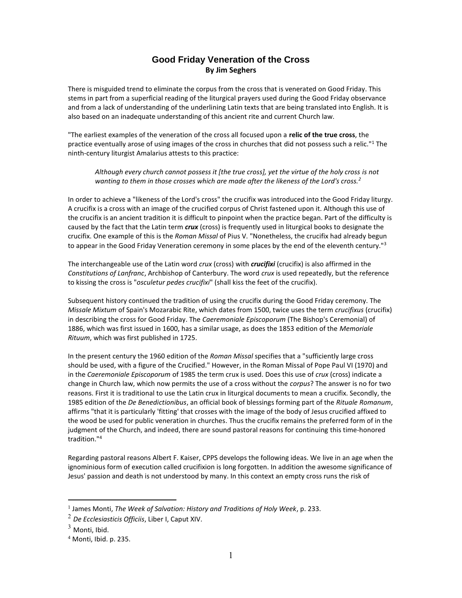## **Good Friday Veneration of the Cross By Jim Seghers**

There is misguided trend to eliminate the corpus from the cross that is venerated on Good Friday. This stems in part from a superficial reading of the liturgical prayers used during the Good Friday observance and from a lack of understanding of the underlining Latin texts that are being translated into English. It is also based on an inadequate understanding of this ancient rite and current Church law.

"The earliest examples of the veneration of the cross all focused upon a **relic of the true cross**, the practice eventually arose of using images of the cross in churches that did not possess such a relic."<sup>1</sup> The ninth-century liturgist Amalarius attests to this practice:

*Although every church cannot possess it [the true cross], yet the virtue of the holy cross is not wanting to them in those crosses which are made after the likeness of the Lord's cross.<sup>2</sup>*

In order to achieve a "likeness of the Lord's cross" the crucifix was introduced into the Good Friday liturgy. A crucifix is a cross with an image of the crucified corpus of Christ fastened upon it. Although this use of the crucifix is an ancient tradition it is difficult to pinpoint when the practice began. Part of the difficulty is caused by the fact that the Latin term *crux* (cross) is frequently used in liturgical books to designate the crucifix. One example of this is the *Roman Missal* of Pius V. "Nonetheless, the crucifix had already begun to appear in the Good Friday Veneration ceremony in some places by the end of the eleventh century."<sup>3</sup>

The interchangeable use of the Latin word *crux* (cross) with *crucifixi* (crucifix) is also affirmed in the *Constitutions of Lanfranc*, Archbishop of Canterbury. The word *crux* is used repeatedly, but the reference to kissing the cross is "*osculetur pedes crucifixi*" (shall kiss the feet of the crucifix).

Subsequent history continued the tradition of using the crucifix during the Good Friday ceremony. The *Missale Mixtum* of Spain's Mozarabic Rite, which dates from 1500, twice uses the term *crucifixus* (crucifix) in describing the cross for Good Friday. The *Caeremoniale Episcoporum* (The Bishop's Ceremonial) of 1886, which was first issued in 1600, has a similar usage, as does the 1853 edition of the *Memoriale Rituum*, which was first published in 1725.

In the present century the 1960 edition of the *Roman Missal* specifies that a "sufficiently large cross should be used, with a figure of the Crucified." However, in the Roman Missal of Pope Paul VI (1970) and in the *Caeremoniale Episcoporum* of 1985 the term crux is used. Does this use of *crux* (cross) indicate a change in Church law, which now permits the use of a cross without the *corpus*? The answer is no for two reasons. First it is traditional to use the Latin crux in liturgical documents to mean a crucifix. Secondly, the 1985 edition of the *De Benedictionibus*, an official book of blessings forming part of the *Rituale Romanum*, affirms "that it is particularly 'fitting' that crosses with the image of the body of Jesus crucified affixed to the wood be used for public veneration in churches. Thus the crucifix remains the preferred form of in the judgment of the Church, and indeed, there are sound pastoral reasons for continuing this time-honored tradition."<sup>4</sup>

Regarding pastoral reasons Albert F. Kaiser, CPPS develops the following ideas. We live in an age when the ignominious form of execution called crucifixion is long forgotten. In addition the awesome significance of Jesus' passion and death is not understood by many. In this context an empty cross runs the risk of

 $\overline{a}$ 

<sup>1</sup> James Monti, *The Week of Salvation: History and Traditions of Holy Week*, p. 233.

<sup>2</sup> *De Ecclesiasticis Officiis*, Liber I, Caput XIV.

 $3$  Monti, Ibid.

 $<sup>4</sup>$  Monti, Ibid. p. 235.</sup>